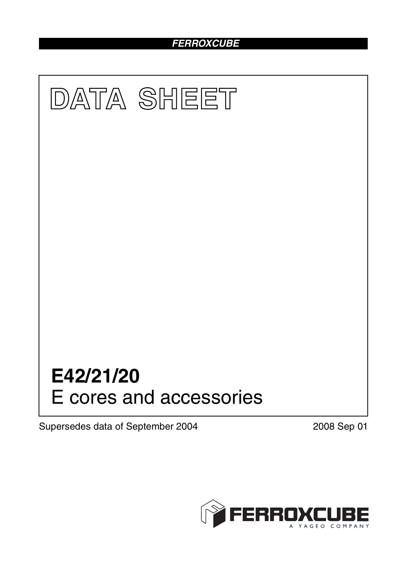# *FERROXCUBE*



Supersedes data of September 2004 2008 Sep 01

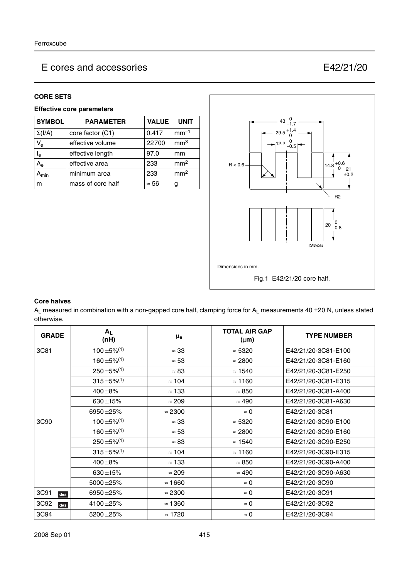#### **CORE SETS**

## **Effective core parameters**

| <b>SYMBOL</b>             | <b>PARAMETER</b>  | <b>VALUE</b> | <b>UNIT</b>     |
|---------------------------|-------------------|--------------|-----------------|
| $\Sigma(I/A)$             | core factor (C1)  | 0.417        | $mm-1$          |
| $V_{e}$                   | effective volume  | 22700        | mm <sup>3</sup> |
| l <sub>e</sub>            | effective length  | 97.0         | mm              |
| $\mathsf{A}_{\mathsf{e}}$ | effective area    | 233          | mm <sup>2</sup> |
| $\mathbf{A}_{\text{min}}$ | minimum area      | 233          | mm <sup>2</sup> |
| m                         | mass of core half | $\approx 56$ | g               |



#### **Core halves**

 $A_L$  measured in combination with a non-gapped core half, clamping force for  $A_L$  measurements 40  $\pm$ 20 N, unless stated otherwise.

| <b>GRADE</b>     | $A_L$<br>(nH)                | $\mu_{\mathbf{e}}$ | <b>TOTAL AIR GAP</b><br>$(\mu m)$ | <b>TYPE NUMBER</b>  |
|------------------|------------------------------|--------------------|-----------------------------------|---------------------|
| 3C81             | $100 \pm 5\%$ <sup>(1)</sup> | $\approx 33$       | $\approx 5320$                    | E42/21/20-3C81-E100 |
|                  | $160 + 5\%/1$                | $\approx 53$       | $\approx 2800$                    | E42/21/20-3C81-E160 |
|                  | $250 \pm 5\%$ <sup>(1)</sup> | $\approx 83$       | $\approx$ 1540                    | E42/21/20-3C81-E250 |
|                  | $315 \pm 5\%/1)$             | $\approx 104$      | $\approx 1160$                    | E42/21/20-3C81-E315 |
|                  | $400 + 8%$                   | $\approx$ 133      | $\approx 850$                     | E42/21/20-3C81-A400 |
|                  | 630 ±15%                     | $\approx 209$      | $\approx 490$                     | E42/21/20-3C81-A630 |
|                  | 6950 ±25%                    | $\approx$ 2300     | $\approx 0$                       | E42/21/20-3C81      |
| 3C <sub>90</sub> | $100 \pm 5\%$ <sup>(1)</sup> | $\approx 33$       | $\approx$ 5320                    | E42/21/20-3C90-E100 |
|                  | $160 \pm 5\%$ <sup>(1)</sup> | $\approx 53$       | $\approx 2800$                    | E42/21/20-3C90-E160 |
|                  | $250 \pm 5\%/1$              | $\approx 83$       | $\approx$ 1540                    | E42/21/20-3C90-E250 |
|                  | $315 \pm 5\%$ <sup>(1)</sup> | $\approx 104$      | $\approx$ 1160                    | E42/21/20-3C90-E315 |
|                  | $400 + 8%$                   | $\approx$ 133      | $\approx 850$                     | E42/21/20-3C90-A400 |
|                  | 630 $\pm$ 15%                | $\approx 209$      | $\approx 490$                     | E42/21/20-3C90-A630 |
|                  | 5000 ± 25%                   | $\approx$ 1660     | $\approx 0$                       | E42/21/20-3C90      |
| 3C91<br>des      | 6950 ± 25%                   | $\approx$ 2300     | $\approx 0$                       | E42/21/20-3C91      |
| 3C92<br>des      | 4100 ± 25%                   | $\approx$ 1360     | $\approx 0$                       | E42/21/20-3C92      |
| 3C94             | 5200 ± 25%                   | $\approx$ 1720     | $\approx 0$                       | E42/21/20-3C94      |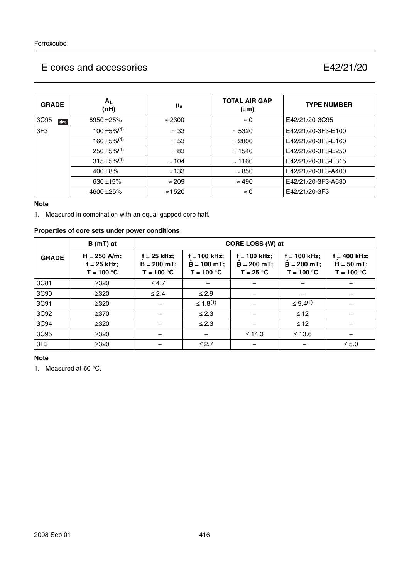| <b>GRADE</b>    | $A_L$<br>(nH)                | μ <sub>e</sub> | <b>TOTAL AIR GAP</b><br>$(\mu m)$ | <b>TYPE NUMBER</b> |
|-----------------|------------------------------|----------------|-----------------------------------|--------------------|
| 3C95<br>des     | 6950 ± 25%                   | $\approx$ 2300 | $\approx 0$                       | E42/21/20-3C95     |
| 3F <sub>3</sub> | $100 \pm 5\%$ <sup>(1)</sup> | $\approx 33$   | $\approx 5320$                    | E42/21/20-3F3-E100 |
|                 | $160 \pm 5\%$ <sup>(1)</sup> | $\approx 53$   | $\approx 2800$                    | E42/21/20-3F3-E160 |
|                 | $250 \pm 5\%/1$              | $\approx 83$   | $\approx$ 1540                    | E42/21/20-3F3-E250 |
|                 | $315 \pm 5\%/1$              | $\approx$ 104  | $\approx$ 1160                    | E42/21/20-3F3-E315 |
|                 | $400 + 8\%$                  | $\approx$ 133  | $\approx 850$                     | E42/21/20-3F3-A400 |
|                 | 630 $\pm$ 15%                | $\approx$ 209  | $\approx 490$                     | E42/21/20-3F3-A630 |
|                 | 4600 ± 25%                   | $\approx$ 1520 | $\approx 0$                       | E42/21/20-3F3      |

#### **Note**

1. Measured in combination with an equal gapped core half.

## **Properties of core sets under power conditions**

|                 | $B(mT)$ at                                      |                                              | CORE LOSS (W) at                                |                                               |                                                |                                            |  |  |
|-----------------|-------------------------------------------------|----------------------------------------------|-------------------------------------------------|-----------------------------------------------|------------------------------------------------|--------------------------------------------|--|--|
| <b>GRADE</b>    | $H = 250$ A/m;<br>$f = 25$ kHz;<br>$T = 100 °C$ | f = 25 kHz;<br>$B = 200$ mT;<br>$T = 100 °C$ | $f = 100$ kHz;<br>$B = 100$ mT;<br>$T = 100 °C$ | $= 100$ kHz;<br>$B = 200 mT$ ;<br>$T = 25 °C$ | $f = 100$ kHz;<br>$B = 200 mT$<br>$T = 100 °C$ | = 400 kHz;<br>$B = 50 mT;$<br>$T = 100 °C$ |  |  |
| 3C81            | $\geq 320$                                      | $\leq 4.7$                                   |                                                 |                                               |                                                |                                            |  |  |
| 3C90            | $\geq 320$                                      | $\leq 2.4$                                   | $\leq$ 2.9                                      |                                               |                                                |                                            |  |  |
| 3C91            | $\geq 320$                                      |                                              | $\leq 1.8^{(1)}$                                |                                               | $\leq 9.4^{(1)}$                               |                                            |  |  |
| 3C92            | $\geq$ 370                                      |                                              | $\leq$ 2.3                                      |                                               | $\leq$ 12                                      |                                            |  |  |
| 3C94            | $\geq 320$                                      |                                              | $\leq$ 2.3                                      |                                               | $\leq$ 12                                      |                                            |  |  |
| 3C95            | $\geq 320$                                      |                                              |                                                 | $\leq 14.3$                                   | $\leq$ 13.6                                    |                                            |  |  |
| 3F <sub>3</sub> | $\geq 320$                                      |                                              | $\leq$ 2.7                                      |                                               |                                                | $\leq 5.0$                                 |  |  |

## **Note**

1. Measured at 60 °C.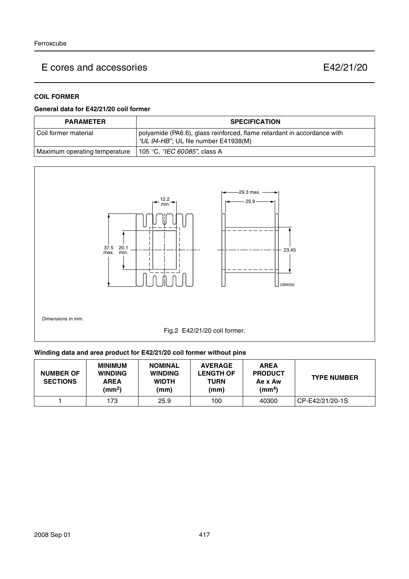### **COIL FORMER**

#### **General data for E42/21/20 coil former**

| <b>PARAMETER</b>              | <b>SPECIFICATION</b>                                                                                            |
|-------------------------------|-----------------------------------------------------------------------------------------------------------------|
| l Coil former material        | polyamide (PA6.6), glass reinforced, flame retardant in accordance with<br>"UL 94-HB"; UL file number E41938(M) |
| Maximum operating temperature | 105 °C, <i>"IEC 60085"</i> , class A                                                                            |



#### **Winding data and area product for E42/21/20 coil former without pins**

| <b>NUMBER OF</b><br><b>SECTIONS</b> | <b>MINIMUM</b><br><b>WINDING</b><br><b>AREA</b><br>(mm <sup>2</sup> ) | <b>NOMINAL</b><br><b>WINDING</b><br><b>WIDTH</b><br>(mm) | <b>AVERAGE</b><br><b>LENGTH OF</b><br><b>TURN</b><br>(mm) | <b>AREA</b><br><b>PRODUCT</b><br>Ae x Aw<br>(mm <sup>4</sup> ) | <b>TYPE NUMBER</b> |
|-------------------------------------|-----------------------------------------------------------------------|----------------------------------------------------------|-----------------------------------------------------------|----------------------------------------------------------------|--------------------|
|                                     | 173                                                                   | 25.9                                                     | 100                                                       | 40300                                                          | CP-E42/21/20-1S    |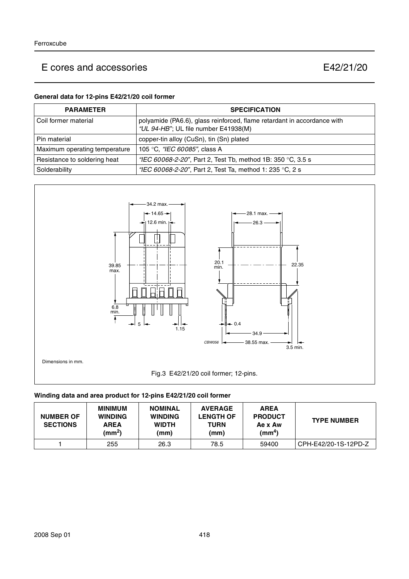#### **General data for 12-pins E42/21/20 coil former**

| <b>PARAMETER</b>              | <b>SPECIFICATION</b>                                                                                            |
|-------------------------------|-----------------------------------------------------------------------------------------------------------------|
| l Coil former material        | polyamide (PA6.6), glass reinforced, flame retardant in accordance with<br>"UL 94-HB"; UL file number E41938(M) |
| Pin material                  | copper-tin alloy (CuSn), tin (Sn) plated                                                                        |
| Maximum operating temperature | 105 °C, "IEC 60085", class A                                                                                    |
| Resistance to soldering heat  | "IEC 60068-2-20", Part 2, Test Tb, method 1B: 350 °C, 3.5 s                                                     |
| Solderability                 | "IEC 60068-2-20", Part 2, Test Ta, method 1: 235 °C, 2 s                                                        |



## **Winding data and area product for 12-pins E42/21/20 coil former**

| <b>NUMBER OF</b><br><b>SECTIONS</b> | <b>MINIMUM</b><br><b>WINDING</b><br><b>AREA</b><br>(mm <sup>2</sup> ) | <b>NOMINAL</b><br><b>WINDING</b><br><b>WIDTH</b><br>(mm) | <b>AVERAGE</b><br><b>LENGTH OF</b><br>TURN<br>(mm) | <b>AREA</b><br><b>PRODUCT</b><br>Ae x Aw<br>(mm $^{4}$ ) | <b>TYPE NUMBER</b>   |
|-------------------------------------|-----------------------------------------------------------------------|----------------------------------------------------------|----------------------------------------------------|----------------------------------------------------------|----------------------|
|                                     | 255                                                                   | 26.3                                                     | 78.5                                               | 59400                                                    | CPH-E42/20-1S-12PD-Z |